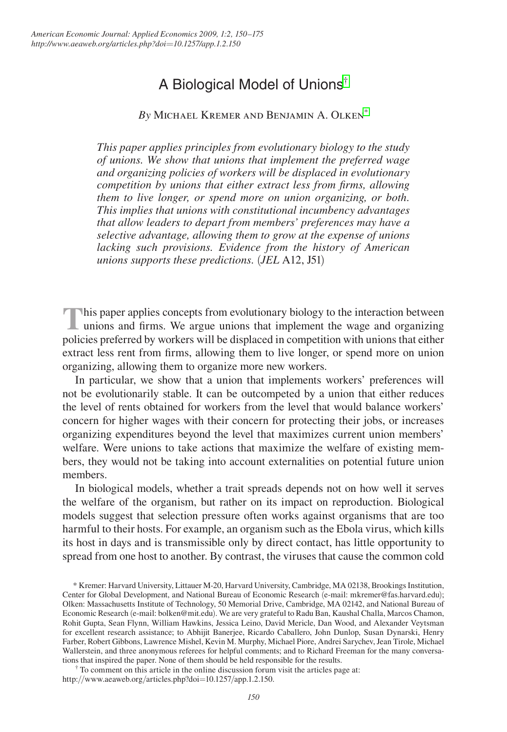# A Biological Model of Unions†

# *By* Michael Kremer and Benjamin A. Olken\*

*This paper applies principles from evolutionary biology to the study of unions. We show that unions that implement the preferred wage and organizing policies of workers will be displaced in evolutionary competition by unions that either extract less from firms, allowing them to live longer, or spend more on union organizing, or both. This implies that unions with constitutional incumbency advantages that allow leaders to depart from members' preferences may have a selective advantage, allowing them to grow at the expense of unions lacking such provisions. Evidence from the history of American unions supports these predictions.* (*JEL* A12, J51)

**T**his paper applies concepts from evolutionary biology to the interaction between unions and firms. We argue unions that implement the wage and organizing policies preferred by workers will be displaced in competition with unions that either extract less rent from firms, allowing them to live longer, or spend more on union organizing, allowing them to organize more new workers.

In particular, we show that a union that implements workers' preferences will not be evolutionarily stable. It can be outcompeted by a union that either reduces the level of rents obtained for workers from the level that would balance workers' concern for higher wages with their concern for protecting their jobs, or increases organizing expenditures beyond the level that maximizes current union members' welfare. Were unions to take actions that maximize the welfare of existing members, they would not be taking into account externalities on potential future union members.

In biological models, whether a trait spreads depends not on how well it serves the welfare of the organism, but rather on its impact on reproduction. Biological models suggest that selection pressure often works against organisms that are too harmful to their hosts. For example, an organism such as the Ebola virus, which kills its host in days and is transmissible only by direct contact, has little opportunity to spread from one host to another. By contrast, the viruses that cause the common cold

http://www.aeaweb.org/articles.php?doi=10.1257/app.1.2.150.

<sup>\*</sup> Kremer: Harvard University, Littauer M-20, Harvard University, Cambridge, MA 02138, Brookings Institution, Center for Global Development, and National Bureau of Economic Research (e-mail: mkremer@fas.harvard.edu); Olken: Massachusetts Institute of Technology, 50 Memorial Drive, Cambridge, MA 02142, and National Bureau of Economic Research (e-mail: bolken@mit.edu). We are very grateful to Radu Ban, Kaushal Challa, Marcos Chamon, Rohit Gupta, Sean Flynn, William Hawkins, Jessica Leino, David Mericle, Dan Wood, and Alexander Veytsman for excellent research assistance; to Abhijit Banerjee, Ricardo Caballero, John Dunlop, Susan Dynarski, Henry Farber, Robert Gibbons, Lawrence Mishel, Kevin M. Murphy, Michael Piore, Andrei Sarychev, Jean Tirole, Michael Wallerstein, and three anonymous referees for helpful comments; and to Richard Freeman for the many conversations that inspired the paper. None of them should be held responsible for the results. † To comment on this article in the online discussion forum visit the articles page at: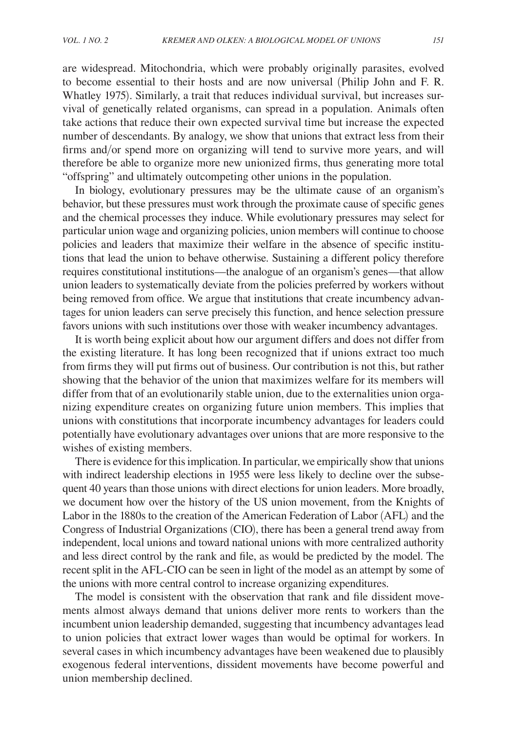are widespread. Mitochondria, which were probably originally parasites, evolved to become essential to their hosts and are now universal (Philip John and F. R. Whatley 1975). Similarly, a trait that reduces individual survival, but increases survival of genetically related organisms, can spread in a population. Animals often take actions that reduce their own expected survival time but increase the expected number of descendants. By analogy, we show that unions that extract less from their firms and/or spend more on organizing will tend to survive more years, and will therefore be able to organize more new unionized firms, thus generating more total "offspring" and ultimately outcompeting other unions in the population.

In biology, evolutionary pressures may be the ultimate cause of an organism's behavior, but these pressures must work through the proximate cause of specific genes and the chemical processes they induce. While evolutionary pressures may select for particular union wage and organizing policies, union members will continue to choose policies and leaders that maximize their welfare in the absence of specific institutions that lead the union to behave otherwise. Sustaining a different policy therefore requires constitutional institutions—the analogue of an organism's genes—that allow union leaders to systematically deviate from the policies preferred by workers without being removed from office. We argue that institutions that create incumbency advantages for union leaders can serve precisely this function, and hence selection pressure favors unions with such institutions over those with weaker incumbency advantages.

It is worth being explicit about how our argument differs and does not differ from the existing literature. It has long been recognized that if unions extract too much from firms they will put firms out of business. Our contribution is not this, but rather showing that the behavior of the union that maximizes welfare for its members will differ from that of an evolutionarily stable union, due to the externalities union organizing expenditure creates on organizing future union members. This implies that unions with constitutions that incorporate incumbency advantages for leaders could potentially have evolutionary advantages over unions that are more responsive to the wishes of existing members.

There is evidence for this implication. In particular, we empirically show that unions with indirect leadership elections in 1955 were less likely to decline over the subsequent 40 years than those unions with direct elections for union leaders. More broadly, we document how over the history of the US union movement, from the Knights of Labor in the 1880s to the creation of the American Federation of Labor (AFL) and the Congress of Industrial Organizations (CIO), there has been a general trend away from independent, local unions and toward national unions with more centralized authority and less direct control by the rank and file, as would be predicted by the model. The recent split in the AFL-CIO can be seen in light of the model as an attempt by some of the unions with more central control to increase organizing expenditures.

The model is consistent with the observation that rank and file dissident movements almost always demand that unions deliver more rents to workers than the incumbent union leadership demanded, suggesting that incumbency advantages lead to union policies that extract lower wages than would be optimal for workers. In several cases in which incumbency advantages have been weakened due to plausibly exogenous federal interventions, dissident movements have become powerful and union membership declined.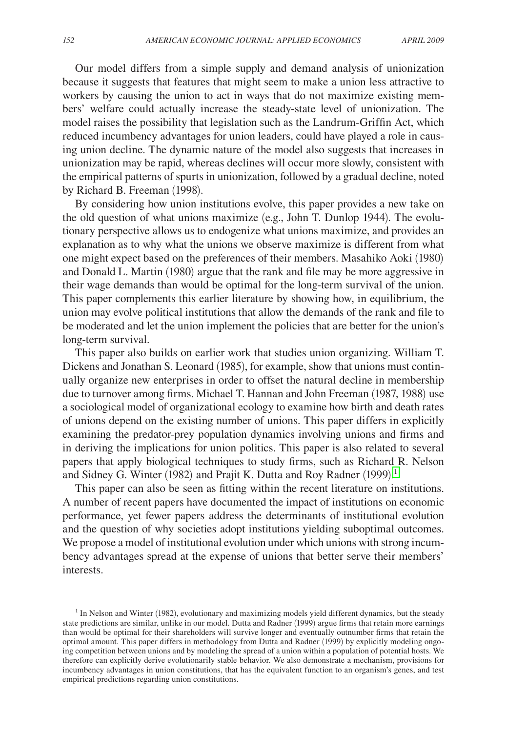Our model differs from a simple supply and demand analysis of unionization because it suggests that features that might seem to make a union less attractive to workers by causing the union to act in ways that do not maximize existing members' welfare could actually increase the steady-state level of unionization. The model raises the possibility that legislation such as the Landrum-Griffin Act, which reduced incumbency advantages for union leaders, could have played a role in causing union decline. The dynamic nature of the model also suggests that increases in unionization may be rapid, whereas declines will occur more slowly, consistent with the empirical patterns of spurts in unionization, followed by a gradual decline, noted by Richard B. Freeman (1998).

By considering how union institutions evolve, this paper provides a new take on the old question of what unions maximize (e.g., John T. Dunlop 1944). The evolutionary perspective allows us to endogenize what unions maximize, and provides an explanation as to why what the unions we observe maximize is different from what one might expect based on the preferences of their members. Masahiko Aoki (1980) and Donald L. Martin (1980) argue that the rank and file may be more aggressive in their wage demands than would be optimal for the long-term survival of the union. This paper complements this earlier literature by showing how, in equilibrium, the union may evolve political institutions that allow the demands of the rank and file to be moderated and let the union implement the policies that are better for the union's long-term survival.

This paper also builds on earlier work that studies union organizing. William T. Dickens and Jonathan S. Leonard (1985), for example, show that unions must continually organize new enterprises in order to offset the natural decline in membership due to turnover among firms. Michael T. Hannan and John Freeman (1987, 1988) use a sociological model of organizational ecology to examine how birth and death rates of unions depend on the existing number of unions. This paper differs in explicitly examining the predator-prey population dynamics involving unions and firms and in deriving the implications for union politics. This paper is also related to several papers that apply biological techniques to study firms, such as Richard R. Nelson and Sidney G. Winter (1982) and Prajit K. Dutta and Roy Radner (1999). 1

This paper can also be seen as fitting within the recent literature on institutions. A number of recent papers have documented the impact of institutions on economic performance, yet fewer papers address the determinants of institutional evolution and the question of why societies adopt institutions yielding suboptimal outcomes. We propose a model of institutional evolution under which unions with strong incumbency advantages spread at the expense of unions that better serve their members' interests.

<sup>&</sup>lt;sup>1</sup> In Nelson and Winter (1982), evolutionary and maximizing models yield different dynamics, but the steady state predictions are similar, unlike in our model. Dutta and Radner (1999) argue firms that retain more earnings than would be optimal for their shareholders will survive longer and eventually outnumber firms that retain the optimal amount. This paper differs in methodology from Dutta and Radner (1999) by explicitly modeling ongoing competition between unions and by modeling the spread of a union within a population of potential hosts. We therefore can explicitly derive evolutionarily stable behavior. We also demonstrate a mechanism, provisions for incumbency advantages in union constitutions, that has the equivalent function to an organism's genes, and test empirical predictions regarding union constitutions.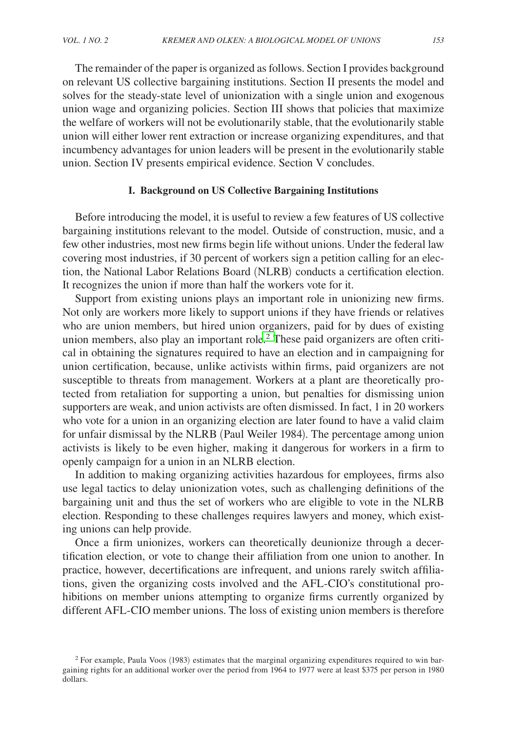The remainder of the paper is organized as follows. Section I provides background on relevant US collective bargaining institutions. Section II presents the model and solves for the steady-state level of unionization with a single union and exogenous union wage and organizing policies. Section III shows that policies that maximize the welfare of workers will not be evolutionarily stable, that the evolutionarily stable union will either lower rent extraction or increase organizing expenditures, and that incumbency advantages for union leaders will be present in the evolutionarily stable union. Section IV presents empirical evidence. Section V concludes.

#### **I. Background on US Collective Bargaining Institutions**

Before introducing the model, it is useful to review a few features of US collective bargaining institutions relevant to the model. Outside of construction, music, and a few other industries, most new firms begin life without unions. Under the federal law covering most industries, if 30 percent of workers sign a petition calling for an election, the National Labor Relations Board (NLRB) conducts a certification election. It recognizes the union if more than half the workers vote for it.

Support from existing unions plays an important role in unionizing new firms. Not only are workers more likely to support unions if they have friends or relatives who are union members, but hired union organizers, paid for by dues of existing union members, also play an important role.<sup>2</sup> These paid organizers are often critical in obtaining the signatures required to have an election and in campaigning for union certification, because, unlike activists within firms, paid organizers are not susceptible to threats from management. Workers at a plant are theoretically protected from retaliation for supporting a union, but penalties for dismissing union supporters are weak, and union activists are often dismissed. In fact, 1 in 20 workers who vote for a union in an organizing election are later found to have a valid claim for unfair dismissal by the NLRB (Paul Weiler 1984). The percentage among union activists is likely to be even higher, making it dangerous for workers in a firm to openly campaign for a union in an NLRB election.

In addition to making organizing activities hazardous for employees, firms also use legal tactics to delay unionization votes, such as challenging definitions of the bargaining unit and thus the set of workers who are eligible to vote in the NLRB election. Responding to these challenges requires lawyers and money, which existing unions can help provide.

Once a firm unionizes, workers can theoretically deunionize through a decertification election, or vote to change their affiliation from one union to another. In practice, however, decertifications are infrequent, and unions rarely switch affiliations, given the organizing costs involved and the AFL-CIO's constitutional prohibitions on member unions attempting to organize firms currently organized by different AFL-CIO member unions. The loss of existing union members is therefore

<sup>2</sup> For example, Paula Voos (1983) estimates that the marginal organizing expenditures required to win bargaining rights for an additional worker over the period from 1964 to 1977 were at least \$375 per person in 1980 dollars.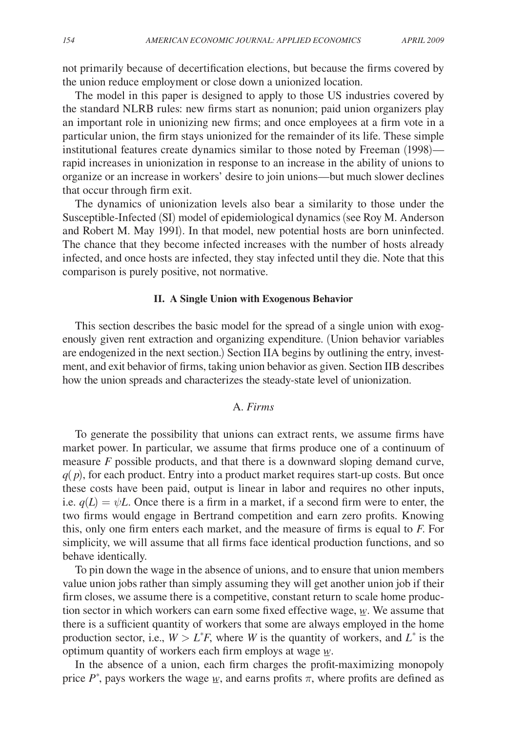not primarily because of decertification elections, but because the firms covered by the union reduce employment or close down a unionized location.

The model in this paper is designed to apply to those US industries covered by the standard NLRB rules: new firms start as nonunion; paid union organizers play an important role in unionizing new firms; and once employees at a firm vote in a particular union, the firm stays unionized for the remainder of its life. These simple institutional features create dynamics similar to those noted by Freeman (1998) rapid increases in unionization in response to an increase in the ability of unions to organize or an increase in workers' desire to join unions—but much slower declines that occur through firm exit.

The dynamics of unionization levels also bear a similarity to those under the Susceptible-Infected (SI) model of epidemiological dynamics (see Roy M. Anderson and Robert M. May 1991). In that model, new potential hosts are born uninfected. The chance that they become infected increases with the number of hosts already infected, and once hosts are infected, they stay infected until they die. Note that this comparison is purely positive, not normative.

## **II. A Single Union with Exogenous Behavior**

This section describes the basic model for the spread of a single union with exogenously given rent extraction and organizing expenditure. (Union behavior variables are endogenized in the next section.) Section IIA begins by outlining the entry, investment, and exit behavior of firms, taking union behavior as given. Section IIB describes how the union spreads and characterizes the steady-state level of unionization.

## A. *Firms*

To generate the possibility that unions can extract rents, we assume firms have market power. In particular, we assume that firms produce one of a continuum of measure *F* possible products, and that there is a downward sloping demand curve,  $q(p)$ , for each product. Entry into a product market requires start-up costs. But once these costs have been paid, output is linear in labor and requires no other inputs, i.e.  $q(L) = \psi L$ . Once there is a firm in a market, if a second firm were to enter, the two firms would engage in Bertrand competition and earn zero profits. Knowing this, only one firm enters each market, and the measure of firms is equal to *F*. For simplicity, we will assume that all firms face identical production functions, and so behave identically.

To pin down the wage in the absence of unions, and to ensure that union members value union jobs rather than simply assuming they will get another union job if their firm closes, we assume there is a competitive, constant return to scale home production sector in which workers can earn some fixed effective wage, *w*–. We assume that there is a sufficient quantity of workers that some are always employed in the home production sector, i.e.,  $W > L^*F$ , where *W* is the quantity of workers, and  $L^*$  is the optimum quantity of workers each firm employs at wage *w*–.

In the absence of a union, each firm charges the profit-maximizing monopoly price  $P^*$ , pays workers the wage  $w$ , and earns profits  $\pi$ , where profits are defined as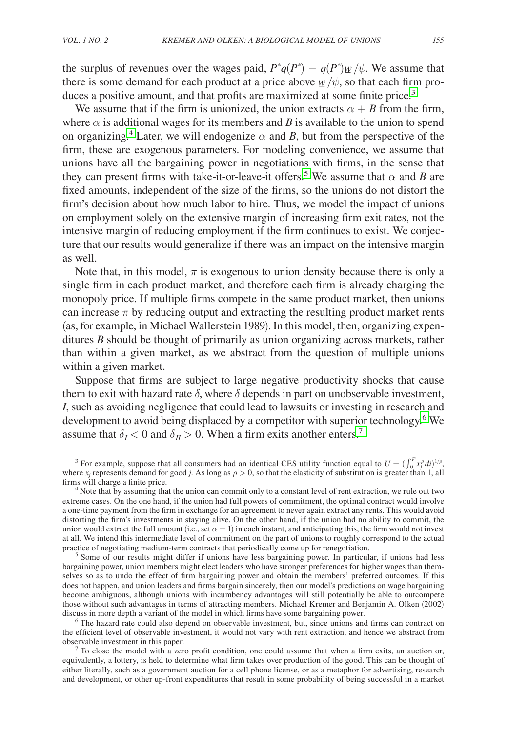the surplus of revenues over the wages paid,  $P^*q(P^*) - q(P^*)\psi$ . We assume that there is some demand for each product at a price above  $w/\psi$ , so that each firm produces a positive amount, and that profits are maximized at some finite price.<sup>3</sup>

We assume that if the firm is unionized, the union extracts  $\alpha + B$  from the firm, where  $\alpha$  is additional wages for its members and *B* is available to the union to spend on organizing.<sup>4</sup> Later, we will endogenize  $\alpha$  and *B*, but from the perspective of the firm, these are exogenous parameters. For modeling convenience, we assume that unions have all the bargaining power in negotiations with firms, in the sense that they can present firms with take-it-or-leave-it offers.<sup>5</sup> We assume that  $\alpha$  and *B* are fixed amounts, independent of the size of the firms, so the unions do not distort the firm's decision about how much labor to hire. Thus, we model the impact of unions on employment solely on the extensive margin of increasing firm exit rates, not the intensive margin of reducing employment if the firm continues to exist. We conjecture that our results would generalize if there was an impact on the intensive margin as well.

Note that, in this model,  $\pi$  is exogenous to union density because there is only a single firm in each product market, and therefore each firm is already charging the monopoly price. If multiple firms compete in the same product market, then unions can increase  $\pi$  by reducing output and extracting the resulting product market rents (as, for example, in Michael Wallerstein 1989). In this model, then, organizing expenditures *B* should be thought of primarily as union organizing across markets, rather than within a given market, as we abstract from the question of multiple unions within a given market.

Suppose that firms are subject to large negative productivity shocks that cause them to exit with hazard rate  $\delta$ , where  $\delta$  depends in part on unobservable investment, *I*, such as avoiding negligence that could lead to lawsuits or investing in research and development to avoid being displaced by a competitor with superior technology.<sup>6</sup> We assume that  $\delta_I < 0$  and  $\delta_{II} > 0$ . When a firm exits another enters.<sup>7</sup>

<sup>3</sup> For example, suppose that all consumers had an identical CES utility function equal to  $U = \left(\int_0^F x_j^{\rho} d\mathbf{i}\right)^{1/\rho}$ , where  $x_j$  represents demand for good *j*. As long as  $\rho > 0$ , so that the elasticity of substitution is greater than 1, all firms will charge a finite price.<br><sup>4</sup> Note that by assuming that the union can commit only to a constant level of rent extraction, we rule out two

extreme cases. On the one hand, if the union had full powers of commitment, the optimal contract would involve a one-time payment from the firm in exchange for an agreement to never again extract any rents. This would avoid distorting the firm's investments in staying alive. On the other hand, if the union had no ability to commit, the union would extract the full amount (i.e., set  $\alpha = 1$ ) in each instant, and anticipating this, the firm would not invest at all. We intend this intermediate level of commitment on the part of unions to roughly correspond to the actual practice of negotiating medium-term contracts that periodically come up for renegotiation.<br><sup>5</sup> Some of our results might differ if unions have less bargaining power. In particular, if unions had less

bargaining power, union members might elect leaders who have stronger preferences for higher wages than themselves so as to undo the effect of firm bargaining power and obtain the members' preferred outcomes. If this does not happen, and union leaders and firms bargain sincerely, then our model's predictions on wage bargaining become ambiguous, although unions with incumbency advantages will still potentially be able to outcompete those without such advantages in terms of attracting members. Michael Kremer and Benjamin A. Olken (2002) discuss in more depth a variant of the model in which firms have some bargaining power.

 $6$  The hazard rate could also depend on observable investment, but, since unions and firms can contract on the efficient level of observable investment, it would not vary with rent extraction, and hence we abstract from observable investment in this paper.

 $\frac{7}{10}$  To close the model with a zero profit condition, one could assume that when a firm exits, an auction or, equivalently, a lottery, is held to determine what firm takes over production of the good. This can be thought of either literally, such as a government auction for a cell phone license, or as a metaphor for advertising, research and development, or other up-front expenditures that result in some probability of being successful in a market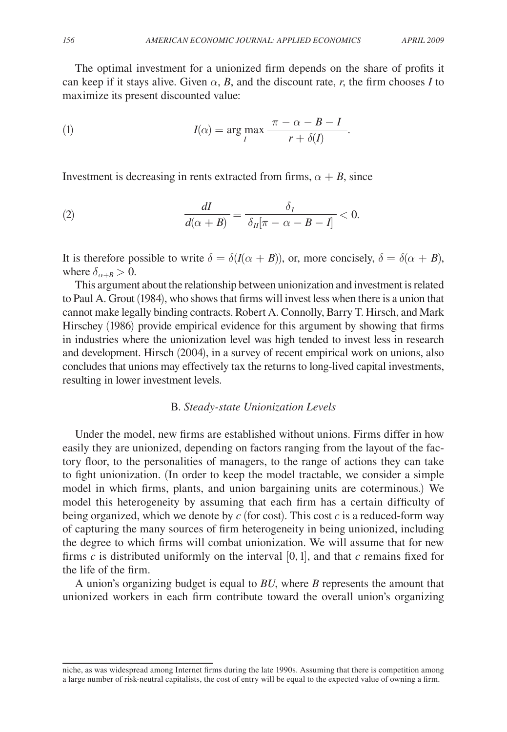The optimal investment for a unionized firm depends on the share of profits it can keep if it stays alive. Given 
$$
\alpha
$$
,  $B$ , and the discount rate,  $r$ , the firm chooses  $I$  to maximize its present discounted value:

(1) 
$$
I(\alpha) = \arg \max_{I} \frac{\pi - \alpha - B - I}{r + \delta(I)}.
$$

Investment is decreasing in rents extracted from firms,  $\alpha + B$ , since

(2) 
$$
\frac{dI}{d(\alpha + B)} = \frac{\delta_I}{\delta_{II}[\pi - \alpha - B - I]} < 0.
$$

It is therefore possible to write  $\delta = \delta(I(\alpha + B))$ , or, more concisely,  $\delta = \delta(\alpha + B)$ , where  $\delta_{\alpha+B} > 0$ .

This argument about the relationship between unionization and investment is related to Paul A. Grout (1984), who shows that firms will invest less when there is a union that cannot make legally binding contracts. Robert A. Connolly, Barry T. Hirsch, and Mark Hirschey (1986) provide empirical evidence for this argument by showing that firms in industries where the unionization level was high tended to invest less in research and development. Hirsch (2004), in a survey of recent empirical work on unions, also concludes that unions may effectively tax the returns to long-lived capital investments, resulting in lower investment levels.

## B. *Steady-state Unionization Levels*

Under the model, new firms are established without unions. Firms differ in how easily they are unionized, depending on factors ranging from the layout of the factory floor, to the personalities of managers, to the range of actions they can take to fight unionization. (In order to keep the model tractable, we consider a simple model in which firms, plants, and union bargaining units are coterminous.) We model this heterogeneity by assuming that each firm has a certain difficulty of being organized, which we denote by *c* (for cost). This cost *c* is a reduced-form way of capturing the many sources of firm heterogeneity in being unionized, including the degree to which firms will combat unionization. We will assume that for new firms *c* is distributed uniformly on the interval [0, 1], and that *c* remains fixed for the life of the firm.

A union's organizing budget is equal to *BU*, where *B* represents the amount that unionized workers in each firm contribute toward the overall union's organizing

niche, as was widespread among Internet firms during the late 1990s. Assuming that there is competition among a large number of risk-neutral capitalists, the cost of entry will be equal to the expected value of owning a firm.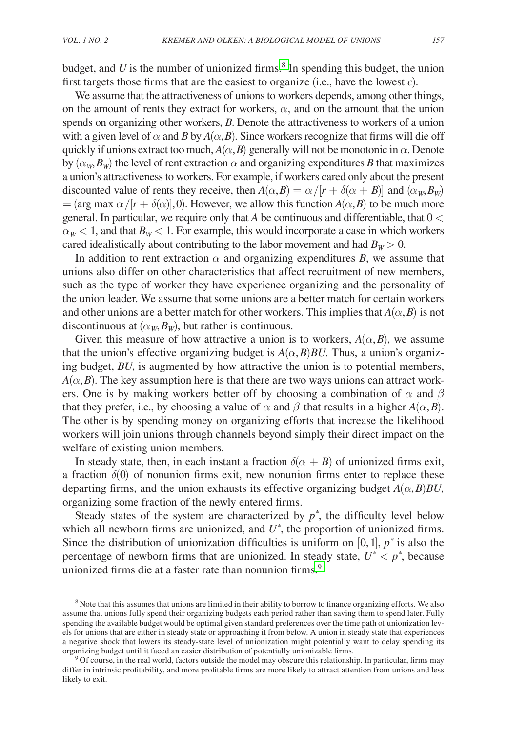budget, and  $U$  is the number of unionized firms.<sup>8</sup> In spending this budget, the union first targets those firms that are the easiest to organize (i.e., have the lowest *c*).

We assume that the attractiveness of unions to workers depends, among other things, on the amount of rents they extract for workers,  $\alpha$ , and on the amount that the union spends on organizing other workers, *B*. Denote the attractiveness to workers of a union with a given level of  $\alpha$  and *B* by  $A(\alpha, B)$ . Since workers recognize that firms will die off quickly if unions extract too much,  $A(\alpha, B)$  generally will not be monotonic in  $\alpha$ . Denote by  $(\alpha_W, B_W)$  the level of rent extraction  $\alpha$  and organizing expenditures *B* that maximizes a union's attractiveness to workers. For example, if workers cared only about the present discounted value of rents they receive, then  $A(\alpha, B) = \alpha / [r + \delta(\alpha + B)]$  and  $(\alpha_w, B_w)$  $=$  (arg max  $\alpha$  /[ $r + \delta(\alpha)$ ], 0). However, we allow this function  $A(\alpha, B)$  to be much more general. In particular, we require only that *A* be continuous and differentiable, that 0 <  $\alpha_W$  < 1, and that  $B_W$  < 1. For example, this would incorporate a case in which workers cared idealistically about contributing to the labor movement and had  $B_W > 0$ .

In addition to rent extraction  $\alpha$  and organizing expenditures *B*, we assume that unions also differ on other characteristics that affect recruitment of new members, such as the type of worker they have experience organizing and the personality of the union leader. We assume that some unions are a better match for certain workers and other unions are a better match for other workers. This implies that  $A(\alpha, B)$  is not discontinuous at  $(\alpha_w, B_w)$ , but rather is continuous.

Given this measure of how attractive a union is to workers,  $A(\alpha, B)$ , we assume that the union's effective organizing budget is  $A(\alpha, B)BU$ . Thus, a union's organizing budget, *BU*, is augmented by how attractive the union is to potential members,  $A(\alpha, B)$ . The key assumption here is that there are two ways unions can attract workers. One is by making workers better off by choosing a combination of  $\alpha$  and  $\beta$ that they prefer, i.e., by choosing a value of  $\alpha$  and  $\beta$  that results in a higher  $A(\alpha, B)$ . The other is by spending money on organizing efforts that increase the likelihood workers will join unions through channels beyond simply their direct impact on the welfare of existing union members.

In steady state, then, in each instant a fraction  $\delta(\alpha + B)$  of unionized firms exit, a fraction  $\delta(0)$  of nonunion firms exit, new nonunion firms enter to replace these departing firms, and the union exhausts its effective organizing budget  $A(\alpha, B)BU$ , organizing some fraction of the newly entered firms.

Steady states of the system are characterized by  $p^*$ , the difficulty level below which all newborn firms are unionized, and  $U^*$ , the proportion of unionized firms. Since the distribution of unionization difficulties is uniform on  $[0, 1]$ ,  $p^*$  is also the percentage of newborn firms that are unionized. In steady state,  $U^* < p^*$ , because unionized firms die at a faster rate than nonunion firms.<sup>9</sup>

<sup>&</sup>lt;sup>8</sup> Note that this assumes that unions are limited in their ability to borrow to finance organizing efforts. We also assume that unions fully spend their organizing budgets each period rather than saving them to spend later. Fully spending the available budget would be optimal given standard preferences over the time path of unionization levels for unions that are either in steady state or approaching it from below. A union in steady state that experiences a negative shock that lowers its steady-state level of unionization might potentially want to delay spending its organizing budget until it faced an easier distribution of potentially unionizable firms.<br><sup>9</sup> Of course, in the real world, factors outside the model may obscure this relationship. In particular, firms may

differ in intrinsic profitability, and more profitable firms are more likely to attract attention from unions and less likely to exit.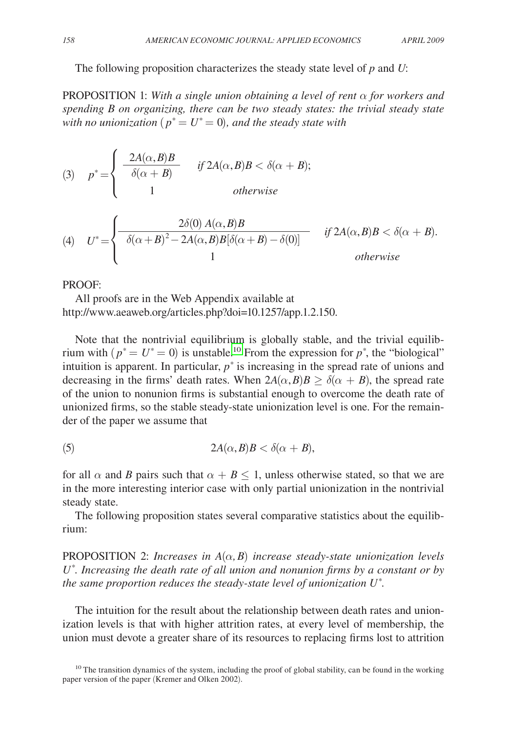The following proposition characterizes the steady state level of *p* and *U*:

Proposition 1: *With a single union obtaining a level of rent* α *for workers and spending B on organizing, there can be two steady states: the trivial steady state with no unionization* ( $p^* = U^* = 0$ ), and the steady state with

(3) 
$$
p^* = \begin{cases} \frac{2A(\alpha, B)B}{\delta(\alpha + B)} & \text{if } 2A(\alpha, B)B < \delta(\alpha + B); \\ 1 & \text{otherwise} \end{cases}
$$

(4) 
$$
U^* = \begin{cases} \frac{2\delta(0) A(\alpha, B)B}{\delta(\alpha + B)^2 - 2A(\alpha, B)B[\delta(\alpha + B) - \delta(0)]} & \text{if } 2A(\alpha, B)B < \delta(\alpha + B).\\ 1 & \text{otherwise} \end{cases}
$$

PROOF<sup>.</sup>

All proofs are in the Web Appendix available at http://www.aeaweb.org/articles.php?doi=10.1257/app.1.2.150.

Note that the nontrivial equilibrium is globally stable, and the trivial equilibrium with  $(p^* = U^* = 0)$  is unstable.<sup>10</sup> From the expression for  $p^*$ , the "biological" intuition is apparent. In particular,  $p^*$  is increasing in the spread rate of unions and decreasing in the firms' death rates. When  $2A(\alpha, B)B \ge \delta(\alpha + B)$ , the spread rate of the union to nonunion firms is substantial enough to overcome the death rate of unionized firms, so the stable steady-state unionization level is one. For the remainder of the paper we assume that

(5) 
$$
2A(\alpha, B)B < \delta(\alpha + B),
$$

for all  $\alpha$  and *B* pairs such that  $\alpha + B \leq 1$ , unless otherwise stated, so that we are in the more interesting interior case with only partial unionization in the nontrivial steady state.

The following proposition states several comparative statistics about the equilibrium:

PROPOSITION 2: *Increases in*  $A(\alpha, B)$  *increase steady-state unionization levels U\*. Increasing the death rate of all union and nonunion firms by a constant or by the same proportion reduces the steady-state level of unionization U\*.*

The intuition for the result about the relationship between death rates and unionization levels is that with higher attrition rates, at every level of membership, the union must devote a greater share of its resources to replacing firms lost to attrition

<sup>&</sup>lt;sup>10</sup> The transition dynamics of the system, including the proof of global stability, can be found in the working paper version of the paper (Kremer and Olken 2002).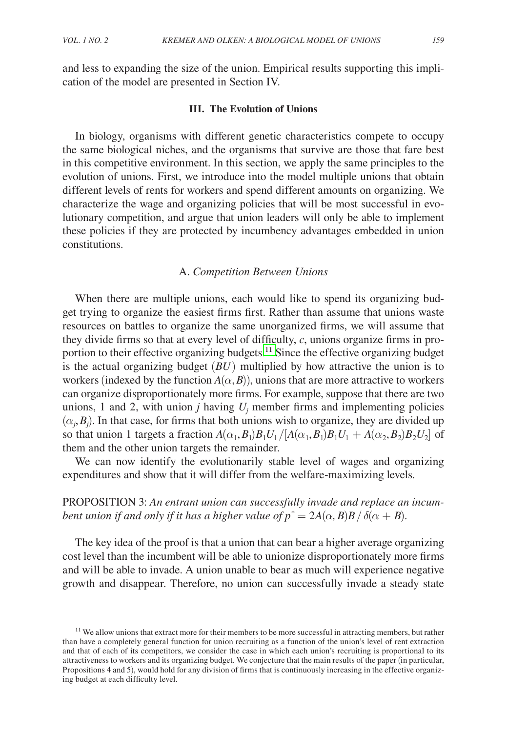and less to expanding the size of the union. Empirical results supporting this implication of the model are presented in Section IV.

#### **III. The Evolution of Unions**

In biology, organisms with different genetic characteristics compete to occupy the same biological niches, and the organisms that survive are those that fare best in this competitive environment. In this section, we apply the same principles to the evolution of unions. First, we introduce into the model multiple unions that obtain different levels of rents for workers and spend different amounts on organizing. We characterize the wage and organizing policies that will be most successful in evolutionary competition, and argue that union leaders will only be able to implement these policies if they are protected by incumbency advantages embedded in union constitutions.

## A. *Competition Between Unions*

When there are multiple unions, each would like to spend its organizing budget trying to organize the easiest firms first. Rather than assume that unions waste resources on battles to organize the same unorganized firms, we will assume that they divide firms so that at every level of difficulty, *c*, unions organize firms in proportion to their effective organizing budgets.<sup>11</sup> Since the effective organizing budget is the actual organizing budget (*BU*) multiplied by how attractive the union is to workers (indexed by the function  $A(\alpha, B)$ ), unions that are more attractive to workers can organize disproportionately more firms. For example, suppose that there are two unions, 1 and 2, with union  $j$  having  $U_j$  member firms and implementing policies  $(\alpha_j, B_j)$ . In that case, for firms that both unions wish to organize, they are divided up so that union 1 targets a fraction  $A(\alpha_1, B_1)B_1U_1/[A(\alpha_1, B_1)B_1U_1 + A(\alpha_2, B_2)B_2U_2]$  of them and the other union targets the remainder.

We can now identify the evolutionarily stable level of wages and organizing expenditures and show that it will differ from the welfare-maximizing levels.

PROPOSITION 3: An entrant union can successfully invade and replace an incum*bent union if and only if it has a higher value of*  $p^* = 2A(\alpha, B)B/\delta(\alpha + B)$ *.* 

The key idea of the proof is that a union that can bear a higher average organizing cost level than the incumbent will be able to unionize disproportionately more firms and will be able to invade. A union unable to bear as much will experience negative growth and disappear. Therefore, no union can successfully invade a steady state

<sup>&</sup>lt;sup>11</sup> We allow unions that extract more for their members to be more successful in attracting members, but rather than have a completely general function for union recruiting as a function of the union's level of rent extraction and that of each of its competitors, we consider the case in which each union's recruiting is proportional to its attractiveness to workers and its organizing budget. We conjecture that the main results of the paper (in particular, Propositions 4 and 5), would hold for any division of firms that is continuously increasing in the effective organizing budget at each difficulty level.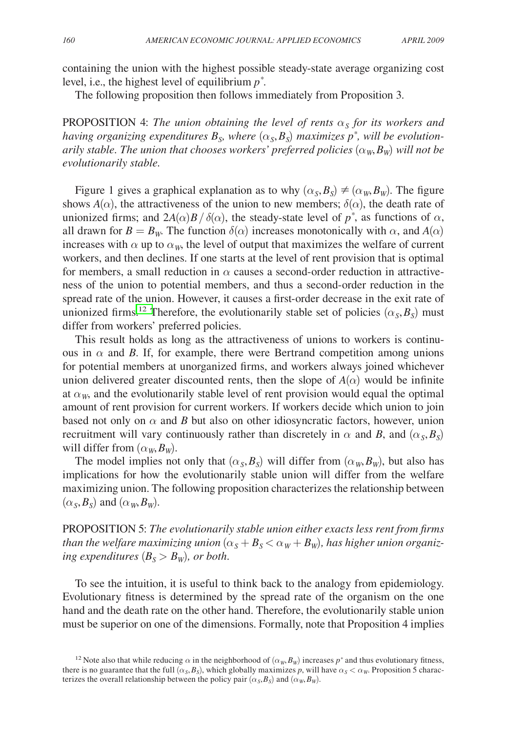containing the union with the highest possible steady-state average organizing cost level, i.e., the highest level of equilibrium *p\** .

The following proposition then follows immediately from Proposition 3.

PROPOSITION 4: *The union obtaining the level of rents*  $\alpha_s$  *for its workers and having organizing expenditures*  $B_s$ , where  $(\alpha_S, B_S)$  maximizes p<sup>\*</sup>, will be evolution*arily stable. The union that chooses workers' preferred policies*  $(\alpha_W, B_W)$  will not be *evolutionarily stable.*

Figure 1 gives a graphical explanation as to why  $(\alpha_S, B_S) \neq (\alpha_W, B_W)$ . The figure shows  $A(\alpha)$ , the attractiveness of the union to new members;  $\delta(\alpha)$ , the death rate of unionized firms; and  $2A(\alpha)B/\delta(\alpha)$ , the steady-state level of  $p^*$ , as functions of  $\alpha$ , all drawn for  $B = B_W$ . The function  $\delta(\alpha)$  increases monotonically with  $\alpha$ , and  $A(\alpha)$ increases with  $\alpha$  up to  $\alpha_w$ , the level of output that maximizes the welfare of current workers, and then declines. If one starts at the level of rent provision that is optimal for members, a small reduction in  $\alpha$  causes a second-order reduction in attractiveness of the union to potential members, and thus a second-order reduction in the spread rate of the union. However, it causes a first-order decrease in the exit rate of unionized firms.<sup>12</sup> Therefore, the evolutionarily stable set of policies  $(\alpha_s, B_s)$  must differ from workers' preferred policies.

This result holds as long as the attractiveness of unions to workers is continuous in  $\alpha$  and *B*. If, for example, there were Bertrand competition among unions for potential members at unorganized firms, and workers always joined whichever union delivered greater discounted rents, then the slope of  $A(\alpha)$  would be infinite at  $\alpha_w$ , and the evolutionarily stable level of rent provision would equal the optimal amount of rent provision for current workers. If workers decide which union to join based not only on  $\alpha$  and  $B$  but also on other idiosyncratic factors, however, union recruitment will vary continuously rather than discretely in  $\alpha$  and *B*, and  $(\alpha_S, B_S)$ will differ from  $(\alpha_w, B_w)$ .

The model implies not only that  $(\alpha_S, B_S)$  will differ from  $(\alpha_W, B_W)$ , but also has implications for how the evolutionarily stable union will differ from the welfare maximizing union. The following proposition characterizes the relationship between  $(\alpha_S, B_S)$  and  $(\alpha_W, B_W)$ .

PROPOSITION 5: *The evolutionarily stable union either exacts less rent from firms than the welfare maximizing union*  $(\alpha_S + B_S < \alpha_W + B_W)$ , has higher union organiz*ing expenditures*  $(B_S > B_W)$ *, or both.* 

To see the intuition, it is useful to think back to the analogy from epidemiology. Evolutionary fitness is determined by the spread rate of the organism on the one hand and the death rate on the other hand. Therefore, the evolutionarily stable union must be superior on one of the dimensions. Formally, note that Proposition 4 implies

<sup>&</sup>lt;sup>12</sup> Note also that while reducing  $\alpha$  in the neighborhood of  $(\alpha_W, B_W)$  increases  $p^*$  and thus evolutionary fitness, there is no guarantee that the full  $(\alpha_S, B_S)$ , which globally maximizes p, will have  $\alpha_S < \alpha_W$ . Proposition 5 characterizes the overall relationship between the policy pair  $(\alpha_S, B_S)$  and  $(\alpha_W, B_W)$ .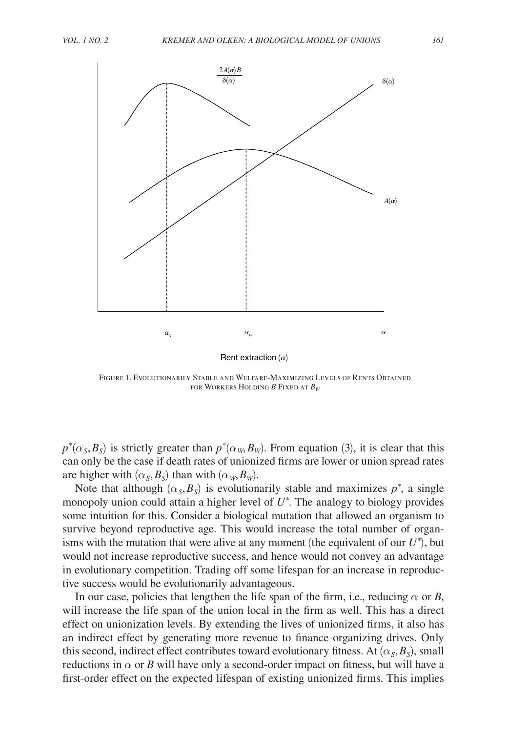

Figure 1. Evolutionarily Stable and Welfare-Maximizing Levels of Rents Obtained for Workers Holding *B* Fixed at *BW*

 $p^*(\alpha_S, B_S)$  is strictly greater than  $p^*(\alpha_W, B_W)$ . From equation (3), it is clear that this can only be the case if death rates of unionized firms are lower or union spread rates are higher with  $(\alpha_S, B_S)$  than with  $(\alpha_W, B_W)$ .

Note that although  $(\alpha_S, B_S)$  is evolutionarily stable and maximizes  $p^*$ , a single monopoly union could attain a higher level of *U\** . The analogy to biology provides some intuition for this. Consider a biological mutation that allowed an organism to survive beyond reproductive age. This would increase the total number of organisms with the mutation that were alive at any moment (the equivalent of our *U\** ), but would not increase reproductive success, and hence would not convey an advantage in evolutionary competition. Trading off some lifespan for an increase in reproductive success would be evolutionarily advantageous.

In our case, policies that lengthen the life span of the firm, i.e., reducing  $\alpha$  or *B*, will increase the life span of the union local in the firm as well. This has a direct effect on unionization levels. By extending the lives of unionized firms, it also has an indirect effect by generating more revenue to finance organizing drives. Only this second, indirect effect contributes toward evolutionary fitness. At  $(\alpha_S, B_S)$ , small reductions in  $\alpha$  or *B* will have only a second-order impact on fitness, but will have a first-order effect on the expected lifespan of existing unionized firms. This implies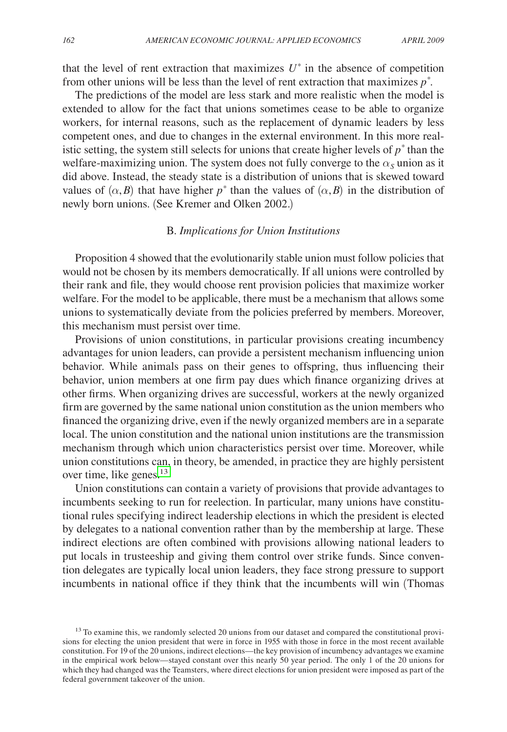that the level of rent extraction that maximizes  $U^*$  in the absence of competition from other unions will be less than the level of rent extraction that maximizes *p\** .

The predictions of the model are less stark and more realistic when the model is extended to allow for the fact that unions sometimes cease to be able to organize workers, for internal reasons, such as the replacement of dynamic leaders by less competent ones, and due to changes in the external environment. In this more realistic setting, the system still selects for unions that create higher levels of *p\** than the welfare-maximizing union. The system does not fully converge to the  $\alpha_s$  union as it did above. Instead, the steady state is a distribution of unions that is skewed toward values of  $(\alpha, B)$  that have higher  $p^*$  than the values of  $(\alpha, B)$  in the distribution of newly born unions. (See Kremer and Olken 2002.)

## B. *Implications for Union Institutions*

Proposition 4 showed that the evolutionarily stable union must follow policies that would not be chosen by its members democratically. If all unions were controlled by their rank and file, they would choose rent provision policies that maximize worker welfare. For the model to be applicable, there must be a mechanism that allows some unions to systematically deviate from the policies preferred by members. Moreover, this mechanism must persist over time.

Provisions of union constitutions, in particular provisions creating incumbency advantages for union leaders, can provide a persistent mechanism influencing union behavior. While animals pass on their genes to offspring, thus influencing their behavior, union members at one firm pay dues which finance organizing drives at other firms. When organizing drives are successful, workers at the newly organized firm are governed by the same national union constitution as the union members who financed the organizing drive, even if the newly organized members are in a separate local. The union constitution and the national union institutions are the transmission mechanism through which union characteristics persist over time. Moreover, while union constitutions can, in theory, be amended, in practice they are highly persistent over time, like genes.<sup>13</sup>

Union constitutions can contain a variety of provisions that provide advantages to incumbents seeking to run for reelection. In particular, many unions have constitutional rules specifying indirect leadership elections in which the president is elected by delegates to a national convention rather than by the membership at large. These indirect elections are often combined with provisions allowing national leaders to put locals in trusteeship and giving them control over strike funds. Since convention delegates are typically local union leaders, they face strong pressure to support incumbents in national office if they think that the incumbents will win (Thomas

<sup>&</sup>lt;sup>13</sup> To examine this, we randomly selected 20 unions from our dataset and compared the constitutional provisions for electing the union president that were in force in 1955 with those in force in the most recent available constitution. For 19 of the 20 unions, indirect elections—the key provision of incumbency advantages we examine in the empirical work below—stayed constant over this nearly 50 year period. The only 1 of the 20 unions for which they had changed was the Teamsters, where direct elections for union president were imposed as part of the federal government takeover of the union.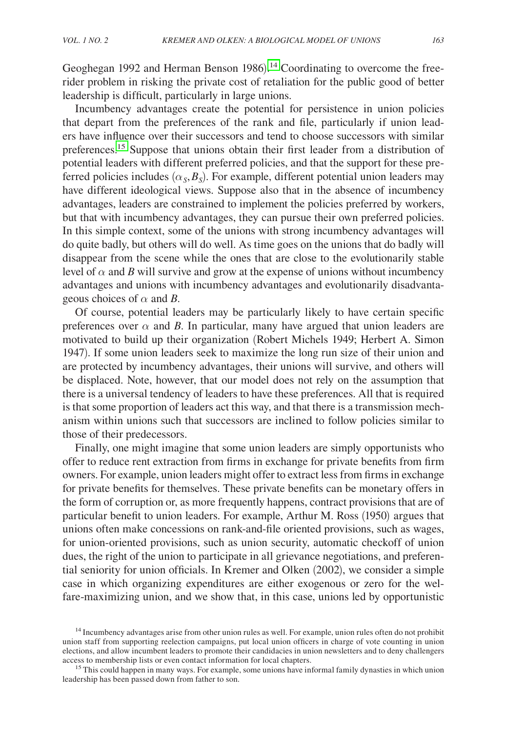Geoghegan 1992 and Herman Benson 1986).<sup>14</sup> Coordinating to overcome the freerider problem in risking the private cost of retaliation for the public good of better leadership is difficult, particularly in large unions.

Incumbency advantages create the potential for persistence in union policies that depart from the preferences of the rank and file, particularly if union leaders have influence over their successors and tend to choose successors with similar preferences.15 Suppose that unions obtain their first leader from a distribution of potential leaders with different preferred policies, and that the support for these preferred policies includes  $(\alpha_S, B_S)$ . For example, different potential union leaders may have different ideological views. Suppose also that in the absence of incumbency advantages, leaders are constrained to implement the policies preferred by workers, but that with incumbency advantages, they can pursue their own preferred policies. In this simple context, some of the unions with strong incumbency advantages will do quite badly, but others will do well. As time goes on the unions that do badly will disappear from the scene while the ones that are close to the evolutionarily stable level of  $\alpha$  and *B* will survive and grow at the expense of unions without incumbency advantages and unions with incumbency advantages and evolutionarily disadvantageous choices of  $\alpha$  and *B*.

Of course, potential leaders may be particularly likely to have certain specific preferences over  $\alpha$  and *B*. In particular, many have argued that union leaders are motivated to build up their organization (Robert Michels 1949; Herbert A. Simon 1947). If some union leaders seek to maximize the long run size of their union and are protected by incumbency advantages, their unions will survive, and others will be displaced. Note, however, that our model does not rely on the assumption that there is a universal tendency of leaders to have these preferences. All that is required is that some proportion of leaders act this way, and that there is a transmission mechanism within unions such that successors are inclined to follow policies similar to those of their predecessors.

Finally, one might imagine that some union leaders are simply opportunists who offer to reduce rent extraction from firms in exchange for private benefits from firm owners. For example, union leaders might offer to extract less from firms in exchange for private benefits for themselves. These private benefits can be monetary offers in the form of corruption or, as more frequently happens, contract provisions that are of particular benefit to union leaders. For example, Arthur M. Ross (1950) argues that unions often make concessions on rank-and-file oriented provisions, such as wages, for union-oriented provisions, such as union security, automatic checkoff of union dues, the right of the union to participate in all grievance negotiations, and preferential seniority for union officials. In Kremer and Olken (2002), we consider a simple case in which organizing expenditures are either exogenous or zero for the welfare-maximizing union, and we show that, in this case, unions led by opportunistic

<sup>&</sup>lt;sup>14</sup> Incumbency advantages arise from other union rules as well. For example, union rules often do not prohibit union staff from supporting reelection campaigns, put local union officers in charge of vote counting in union elections, and allow incumbent leaders to promote their candidacies in union newsletters and to deny challengers access to membership lists or even contact information for local chapters.<br><sup>15</sup> This could happen in many ways. For example, some unions have informal family dynasties in which union

leadership has been passed down from father to son.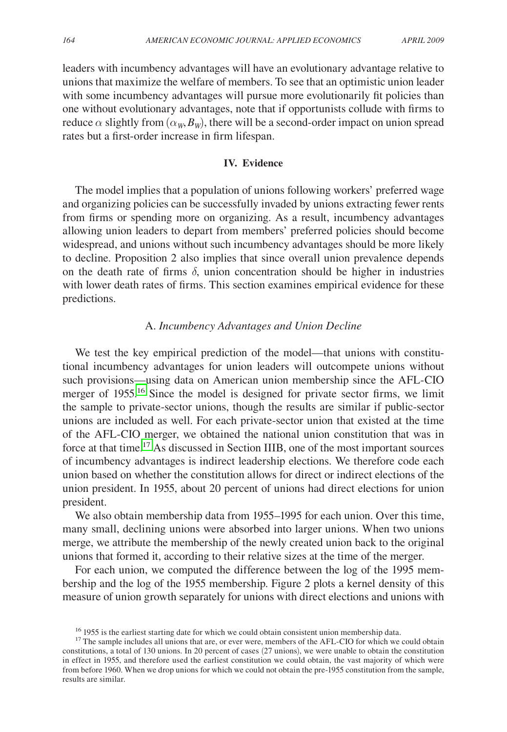leaders with incumbency advantages will have an evolutionary advantage relative to unions that maximize the welfare of members. To see that an optimistic union leader with some incumbency advantages will pursue more evolutionarily fit policies than one without evolutionary advantages, note that if opportunists collude with firms to reduce  $\alpha$  slightly from  $(\alpha_w, B_w)$ , there will be a second-order impact on union spread rates but a first-order increase in firm lifespan.

## **IV. Evidence**

The model implies that a population of unions following workers' preferred wage and organizing policies can be successfully invaded by unions extracting fewer rents from firms or spending more on organizing. As a result, incumbency advantages allowing union leaders to depart from members' preferred policies should become widespread, and unions without such incumbency advantages should be more likely to decline. Proposition 2 also implies that since overall union prevalence depends on the death rate of firms  $\delta$ , union concentration should be higher in industries with lower death rates of firms. This section examines empirical evidence for these predictions.

## A. *Incumbency Advantages and Union Decline*

We test the key empirical prediction of the model—that unions with constitutional incumbency advantages for union leaders will outcompete unions without such provisions—using data on American union membership since the AFL-CIO merger of 1955.<sup>16</sup> Since the model is designed for private sector firms, we limit the sample to private-sector unions, though the results are similar if public-sector unions are included as well. For each private-sector union that existed at the time of the AFL-CIO merger, we obtained the national union constitution that was in force at that time.<sup>17</sup> As discussed in Section IIIB, one of the most important sources of incumbency advantages is indirect leadership elections. We therefore code each union based on whether the constitution allows for direct or indirect elections of the union president. In 1955, about 20 percent of unions had direct elections for union president.

We also obtain membership data from 1955–1995 for each union. Over this time, many small, declining unions were absorbed into larger unions. When two unions merge, we attribute the membership of the newly created union back to the original unions that formed it, according to their relative sizes at the time of the merger.

For each union, we computed the difference between the log of the 1995 membership and the log of the 1955 membership. Figure 2 plots a kernel density of this measure of union growth separately for unions with direct elections and unions with

<sup>&</sup>lt;sup>16</sup> 1955 is the earliest starting date for which we could obtain consistent union membership data. <sup>17</sup> The sample includes all unions that are, or ever were, members of the AFL-CIO for which we could obtain

constitutions, a total of 130 unions. In 20 percent of cases (27 unions), we were unable to obtain the constitution in effect in 1955, and therefore used the earliest constitution we could obtain, the vast majority of which were from before 1960. When we drop unions for which we could not obtain the pre-1955 constitution from the sample, results are similar.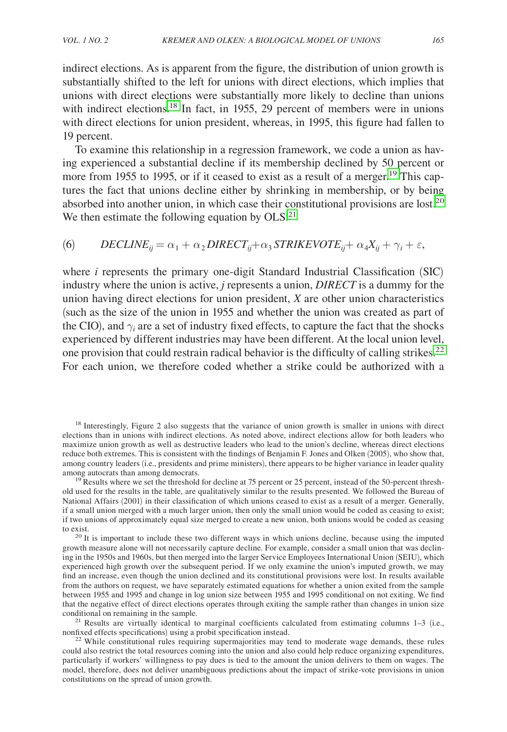indirect elections. As is apparent from the figure, the distribution of union growth is substantially shifted to the left for unions with direct elections, which implies that unions with direct elections were substantially more likely to decline than unions with indirect elections.<sup>18</sup> In fact, in 1955, 29 percent of members were in unions with direct elections for union president, whereas, in 1995, this figure had fallen to 19 percent.

To examine this relationship in a regression framework, we code a union as having experienced a substantial decline if its membership declined by 50 percent or more from 1955 to 1995, or if it ceased to exist as a result of a merger.<sup>19</sup> This captures the fact that unions decline either by shrinking in membership, or by being absorbed into another union, in which case their constitutional provisions are lost.<sup>20</sup> We then estimate the following equation by  $OLS:^{21}$ 

(6) *DECLINE<sub>ij</sub>* =  $\alpha_1 + \alpha_2$  *DIRECT<sub>ij</sub>*+ $\alpha_3$  *STRIKEVOTE<sub>ij</sub>*+ $\alpha_4 X_{ij} + \gamma_i + \varepsilon$ ,

where *i* represents the primary one-digit Standard Industrial Classification (SIC) industry where the union is active, *j* represents a union, *DIRECT* is a dummy for the union having direct elections for union president, *X* are other union characteristics (such as the size of the union in 1955 and whether the union was created as part of the CIO), and  $\gamma_i$  are a set of industry fixed effects, to capture the fact that the shocks experienced by different industries may have been different. At the local union level, one provision that could restrain radical behavior is the difficulty of calling strikes.<sup>22</sup> For each union, we therefore coded whether a strike could be authorized with a

<sup>18</sup> Interestingly, Figure 2 also suggests that the variance of union growth is smaller in unions with direct elections than in unions with indirect elections. As noted above, indirect elections allow for both leaders who maximize union growth as well as destructive leaders who lead to the union's decline, whereas direct elections reduce both extremes. This is consistent with the findings of Benjamin F. Jones and Olken (2005), who show that, among country leaders (i.e., presidents and prime ministers), there appears to be higher variance in leader quality among autocrats than among democrats.

 $19$  Results where we set the threshold for decline at 75 percent or 25 percent, instead of the 50-percent threshold used for the results in the table, are qualitatively similar to the results presented. We followed the Bureau of National Affairs (2001) in their classification of which unions ceased to exist as a result of a merger. Generally, if a small union merged with a much larger union, then only the small union would be coded as ceasing to exist; if two unions of approximately equal size merged to create a new union, both unions would be coded as ceasing to exist. <sup>20</sup> It is important to include these two different ways in which unions decline, because using the imputed

growth measure alone will not necessarily capture decline. For example, consider a small union that was declining in the 1950s and 1960s, but then merged into the larger Service Employees International Union (SEIU), which experienced high growth over the subsequent period. If we only examine the union's imputed growth, we may find an increase, even though the union declined and its constitutional provisions were lost. In results available from the authors on request, we have separately estimated equations for whether a union exited from the sample between 1955 and 1995 and change in log union size between 1955 and 1995 conditional on not exiting. We find that the negative effect of direct elections operates through exiting the sample rather than changes in union size

conditional on remaining in the sample.<br><sup>21</sup> Results are virtually identical to marginal coefficients calculated from estimating columns 1–3 (i.e., nonfixed effects specifications) using a probit specification instead.

22 While constitutional rules requiring supermajorities may tend to moderate wage demands, these rules could also restrict the total resources coming into the union and also could help reduce organizing expenditures, particularly if workers' willingness to pay dues is tied to the amount the union delivers to them on wages. The model, therefore, does not deliver unambiguous predictions about the impact of strike-vote provisions in union constitutions on the spread of union growth.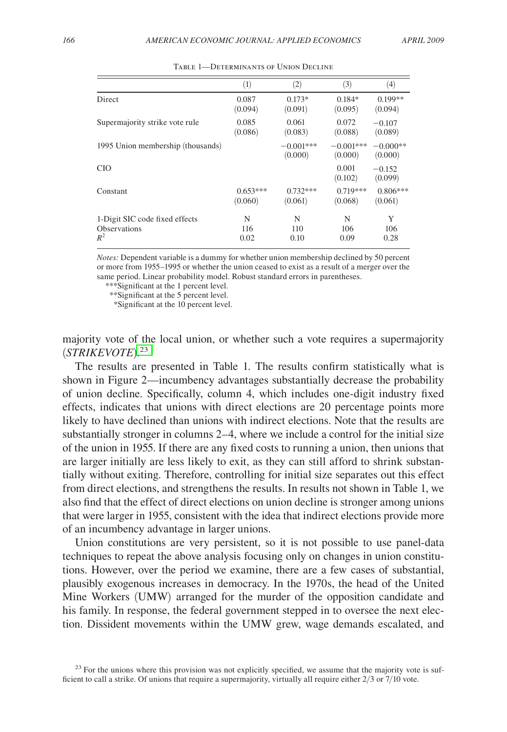|                                   | (1)        | (2)                    | (3)                    | (4)                   |
|-----------------------------------|------------|------------------------|------------------------|-----------------------|
| Direct                            | 0.087      | $0.173*$               | $0.184*$               | $0.199**$             |
|                                   | (0.094)    | (0.091)                | (0.095)                | (0.094)               |
| Supermajority strike vote rule    | 0.085      | 0.061                  | 0.072                  | $-0.107$              |
|                                   | (0.086)    | (0.083)                | (0.088)                | (0.089)               |
| 1995 Union membership (thousands) |            | $-0.001***$<br>(0.000) | $-0.001***$<br>(0.000) | $-0.000**$<br>(0.000) |
| <b>CIO</b>                        |            |                        | 0.001<br>(0.102)       | $-0.152$<br>(0.099)   |
| Constant                          | $0.653***$ | $0.732***$             | $0.719***$             | $0.806***$            |
|                                   | (0.060)    | (0.061)                | (0.068)                | (0.061)               |
| 1-Digit SIC code fixed effects    | N          | N                      | N                      | Y                     |
| Observations                      | 116        | 110                    | 106                    | 106                   |
| $R^2$                             | 0.02       | 0.10                   | 0.09                   | 0.28                  |

Table 1—Determinants of Union Decline

*Notes:* Dependent variable is a dummy for whether union membership declined by 50 percent or more from 1955–1995 or whether the union ceased to exist as a result of a merger over the same period. Linear probability model. Robust standard errors in parentheses.

\*\*\*Significant at the 1 percent level.

\*\*Significant at the 5 percent level.

\*Significant at the 10 percent level.

majority vote of the local union, or whether such a vote requires a supermajority (*STRIKEVOTE*). 23

The results are presented in Table 1. The results confirm statistically what is shown in Figure 2—incumbency advantages substantially decrease the probability of union decline. Specifically, column 4, which includes one-digit industry fixed effects, indicates that unions with direct elections are 20 percentage points more likely to have declined than unions with indirect elections. Note that the results are substantially stronger in columns 2–4, where we include a control for the initial size of the union in 1955. If there are any fixed costs to running a union, then unions that are larger initially are less likely to exit, as they can still afford to shrink substantially without exiting. Therefore, controlling for initial size separates out this effect from direct elections, and strengthens the results. In results not shown in Table 1, we also find that the effect of direct elections on union decline is stronger among unions that were larger in 1955, consistent with the idea that indirect elections provide more of an incumbency advantage in larger unions.

Union constitutions are very persistent, so it is not possible to use panel-data techniques to repeat the above analysis focusing only on changes in union constitutions. However, over the period we examine, there are a few cases of substantial, plausibly exogenous increases in democracy. In the 1970s, the head of the United Mine Workers (UMW) arranged for the murder of the opposition candidate and his family. In response, the federal government stepped in to oversee the next election. Dissident movements within the UMW grew, wage demands escalated, and

 $23$  For the unions where this provision was not explicitly specified, we assume that the majority vote is sufficient to call a strike. Of unions that require a supermajority, virtually all require either 2/3 or 7/10 vote.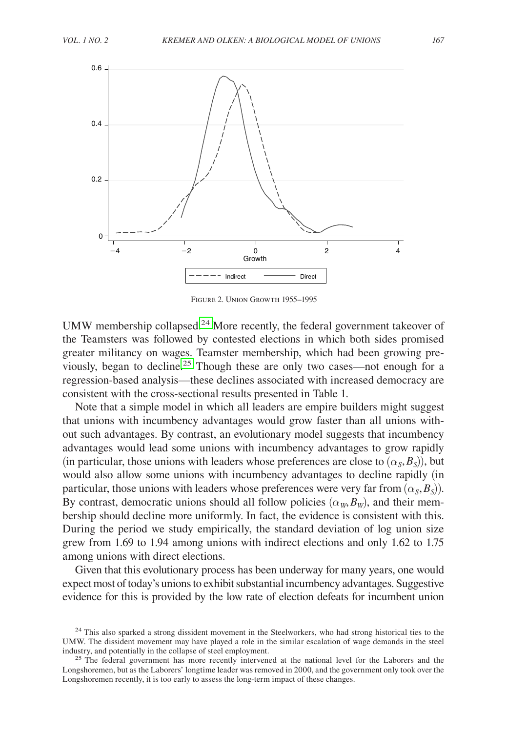

Figure 2. Union Growth 1955–1995

UMW membership collapsed.<sup>24</sup> More recently, the federal government takeover of the Teamsters was followed by contested elections in which both sides promised greater militancy on wages. Teamster membership, which had been growing previously, began to decline.<sup>25</sup> Though these are only two cases—not enough for a regression-based analysis—these declines associated with increased democracy are consistent with the cross-sectional results presented in Table 1.

Note that a simple model in which all leaders are empire builders might suggest that unions with incumbency advantages would grow faster than all unions without such advantages. By contrast, an evolutionary model suggests that incumbency advantages would lead some unions with incumbency advantages to grow rapidly (in particular, those unions with leaders whose preferences are close to  $(\alpha_s, B_s)$ ), but would also allow some unions with incumbency advantages to decline rapidly (in particular, those unions with leaders whose preferences were very far from  $(\alpha_s, B_s)$ ). By contrast, democratic unions should all follow policies  $(\alpha_W, B_W)$ , and their membership should decline more uniformly. In fact, the evidence is consistent with this. During the period we study empirically, the standard deviation of log union size grew from 1.69 to 1.94 among unions with indirect elections and only 1.62 to 1.75 among unions with direct elections.

Given that this evolutionary process has been underway for many years, one would expect most of today's unions to exhibit substantial incumbency advantages. Suggestive evidence for this is provided by the low rate of election defeats for incumbent union

<sup>&</sup>lt;sup>24</sup> This also sparked a strong dissident movement in the Steelworkers, who had strong historical ties to the UMW. The dissident movement may have played a role in the similar escalation of wage demands in the steel industry, and potentially in the collapse of steel employment.<br><sup>25</sup> The federal government has more recently intervened at the national level for the Laborers and the

Longshoremen, but as the Laborers' longtime leader was removed in 2000, and the government only took over the Longshoremen recently, it is too early to assess the long-term impact of these changes.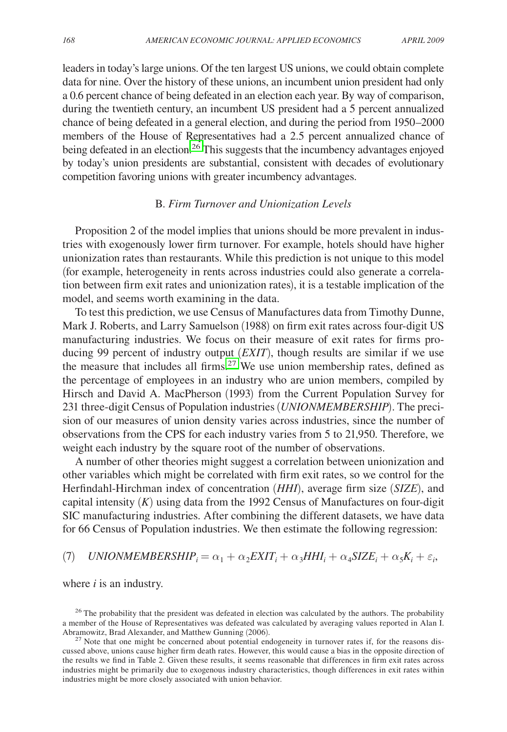leaders in today's large unions. Of the ten largest US unions, we could obtain complete data for nine. Over the history of these unions, an incumbent union president had only a 0.6 percent chance of being defeated in an election each year. By way of comparison, during the twentieth century, an incumbent US president had a 5 percent annualized chance of being defeated in a general election, and during the period from 1950–2000 members of the House of Representatives had a 2.5 percent annualized chance of being defeated in an election.<sup>26</sup> This suggests that the incumbency advantages enjoyed by today's union presidents are substantial, consistent with decades of evolutionary competition favoring unions with greater incumbency advantages.

# B. *Firm Turnover and Unionization Levels*

Proposition 2 of the model implies that unions should be more prevalent in industries with exogenously lower firm turnover. For example, hotels should have higher unionization rates than restaurants. While this prediction is not unique to this model (for example, heterogeneity in rents across industries could also generate a correlation between firm exit rates and unionization rates), it is a testable implication of the model, and seems worth examining in the data.

To test this prediction, we use Census of Manufactures data from Timothy Dunne, Mark J. Roberts, and Larry Samuelson (1988) on firm exit rates across four-digit US manufacturing industries. We focus on their measure of exit rates for firms producing 99 percent of industry output (*EXIT*), though results are similar if we use the measure that includes all firms.<sup>27</sup> We use union membership rates, defined as the percentage of employees in an industry who are union members, compiled by Hirsch and David A. MacPherson (1993) from the Current Population Survey for 231 three-digit Census of Population industries (*UNIONMEMBERSHIP*). The precision of our measures of union density varies across industries, since the number of observations from the CPS for each industry varies from 5 to 21,950. Therefore, we weight each industry by the square root of the number of observations.

A number of other theories might suggest a correlation between unionization and other variables which might be correlated with firm exit rates, so we control for the Herfindahl-Hirchman index of concentration (*HHI*), average firm size (*SIZE*), and capital intensity (*K*) using data from the 1992 Census of Manufactures on four-digit SIC manufacturing industries. After combining the different datasets, we have data for 66 Census of Population industries. We then estimate the following regression:

(7) *UNIONMEMBERSHIP<sub>i</sub>* = 
$$
\alpha_1 + \alpha_2 EXIT_i + \alpha_3 HHI_i + \alpha_4 SIZE_i + \alpha_5 K_i + \varepsilon_i
$$
,

where *i* is an industry.

<sup>&</sup>lt;sup>26</sup> The probability that the president was defeated in election was calculated by the authors. The probability a member of the House of Representatives was defeated was calculated by averaging values reported in Alan I.

 $^{27}$  Note that one might be concerned about potential endogeneity in turnover rates if, for the reasons discussed above, unions cause higher firm death rates. However, this would cause a bias in the opposite direction of the results we find in Table 2. Given these results, it seems reasonable that differences in firm exit rates across industries might be primarily due to exogenous industry characteristics, though differences in exit rates within industries might be more closely associated with union behavior.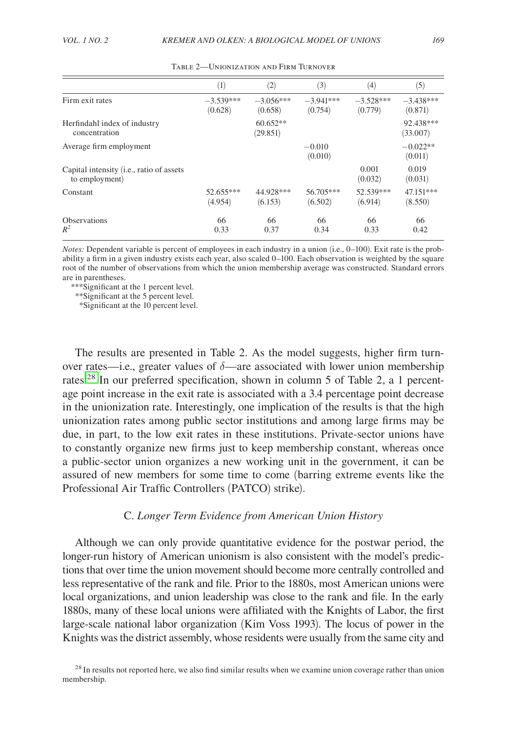|                                                            | $\left(1\right)$       | (2)                    | (3)                    | (4)                    | (5)                    |
|------------------------------------------------------------|------------------------|------------------------|------------------------|------------------------|------------------------|
| Firm exit rates                                            | $-3.539***$<br>(0.628) | $-3.056***$<br>(0.658) | $-3.941***$<br>(0.754) | $-3.528***$<br>(0.779) | $-3.438***$<br>(0.871) |
| Herfindahl index of industry<br>concentration              |                        | $60.652**$<br>(29.851) |                        |                        | 92.438***<br>(33.007)  |
| Average firm employment                                    |                        |                        | $-0.010$<br>(0.010)    |                        | $-0.022**$<br>(0.011)  |
| Capital intensity (i.e., ratio of assets<br>to employment) |                        |                        |                        | 0.001<br>(0.032)       | 0.019<br>(0.031)       |
| Constant                                                   | 52.655***<br>(4.954)   | 44.928***<br>(6.153)   | 56.705***<br>(6.502)   | 52.539***<br>(6.914)   | 47.151***<br>(8.550)   |
| <b>Observations</b><br>$R^2$                               | 66<br>0.33             | 66<br>0.37             | 66<br>0.34             | 66<br>0.33             | 66<br>0.42             |

Table 2—Unionization and Firm Turnover

*Notes:* Dependent variable is percent of employees in each industry in a union (i.e., 0–100). Exit rate is the probability a firm in a given industry exists each year, also scaled 0–100. Each observation is weighted by the square root of the number of observations from which the union membership average was constructed. Standard errors are in parentheses.

\*\*\*Significant at the 1 percent level.

\*\*Significant at the 5 percent level.

\*Significant at the 10 percent level.

The results are presented in Table 2. As the model suggests, higher firm turnover rates—i.e., greater values of  $\delta$ —are associated with lower union membership rates.28 In our preferred specification, shown in column 5 of Table 2, a 1 percentage point increase in the exit rate is associated with a 3.4 percentage point decrease in the unionization rate. Interestingly, one implication of the results is that the high unionization rates among public sector institutions and among large firms may be due, in part, to the low exit rates in these institutions. Private-sector unions have to constantly organize new firms just to keep membership constant, whereas once a public-sector union organizes a new working unit in the government, it can be assured of new members for some time to come (barring extreme events like the Professional Air Traffic Controllers (PATCO) strike).

## C. *Longer Term Evidence from American Union History*

Although we can only provide quantitative evidence for the postwar period, the longer-run history of American unionism is also consistent with the model's predictions that over time the union movement should become more centrally controlled and less representative of the rank and file. Prior to the 1880s, most American unions were local organizations, and union leadership was close to the rank and file. In the early 1880s, many of these local unions were affiliated with the Knights of Labor, the first large-scale national labor organization (Kim Voss 1993). The locus of power in the Knights was the district assembly, whose residents were usually from the same city and

<sup>&</sup>lt;sup>28</sup> In results not reported here, we also find similar results when we examine union coverage rather than union membership.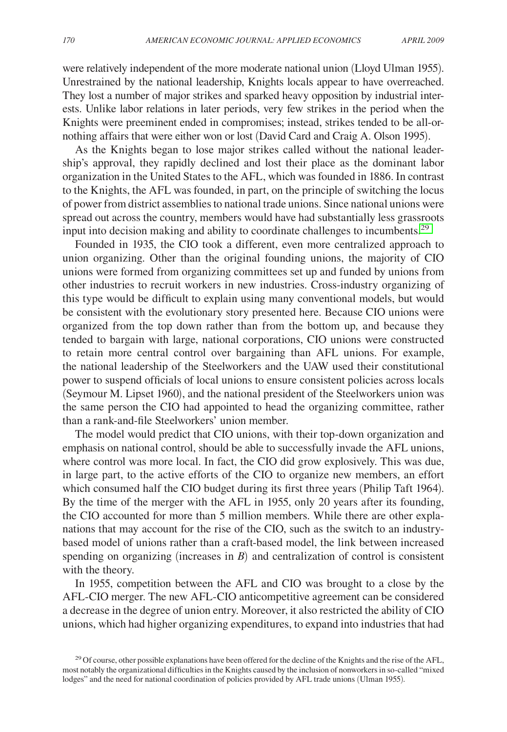were relatively independent of the more moderate national union (Lloyd Ulman 1955). Unrestrained by the national leadership, Knights locals appear to have overreached. They lost a number of major strikes and sparked heavy opposition by industrial interests. Unlike labor relations in later periods, very few strikes in the period when the Knights were preeminent ended in compromises; instead, strikes tended to be all-ornothing affairs that were either won or lost (David Card and Craig A. Olson 1995).

As the Knights began to lose major strikes called without the national leadership's approval, they rapidly declined and lost their place as the dominant labor organization in the United States to the AFL, which was founded in 1886. In contrast to the Knights, the AFL was founded, in part, on the principle of switching the locus of power from district assemblies to national trade unions. Since national unions were spread out across the country, members would have had substantially less grassroots input into decision making and ability to coordinate challenges to incumbents.29

Founded in 1935, the CIO took a different, even more centralized approach to union organizing. Other than the original founding unions, the majority of CIO unions were formed from organizing committees set up and funded by unions from other industries to recruit workers in new industries. Cross-industry organizing of this type would be difficult to explain using many conventional models, but would be consistent with the evolutionary story presented here. Because CIO unions were organized from the top down rather than from the bottom up, and because they tended to bargain with large, national corporations, CIO unions were constructed to retain more central control over bargaining than AFL unions. For example, the national leadership of the Steelworkers and the UAW used their constitutional power to suspend officials of local unions to ensure consistent policies across locals (Seymour M. Lipset 1960), and the national president of the Steelworkers union was the same person the CIO had appointed to head the organizing committee, rather than a rank-and-file Steelworkers' union member.

The model would predict that CIO unions, with their top-down organization and emphasis on national control, should be able to successfully invade the AFL unions, where control was more local. In fact, the CIO did grow explosively. This was due, in large part, to the active efforts of the CIO to organize new members, an effort which consumed half the CIO budget during its first three years (Philip Taft 1964). By the time of the merger with the AFL in 1955, only 20 years after its founding, the CIO accounted for more than 5 million members. While there are other explanations that may account for the rise of the CIO, such as the switch to an industrybased model of unions rather than a craft-based model, the link between increased spending on organizing (increases in *B*) and centralization of control is consistent with the theory.

In 1955, competition between the AFL and CIO was brought to a close by the AFL-CIO merger. The new AFL-CIO anticompetitive agreement can be considered a decrease in the degree of union entry. Moreover, it also restricted the ability of CIO unions, which had higher organizing expenditures, to expand into industries that had

 $29$  Of course, other possible explanations have been offered for the decline of the Knights and the rise of the AFL, most notably the organizational difficulties in the Knights caused by the inclusion of nonworkers in so-called "mixed lodges" and the need for national coordination of policies provided by AFL trade unions (Ulman 1955).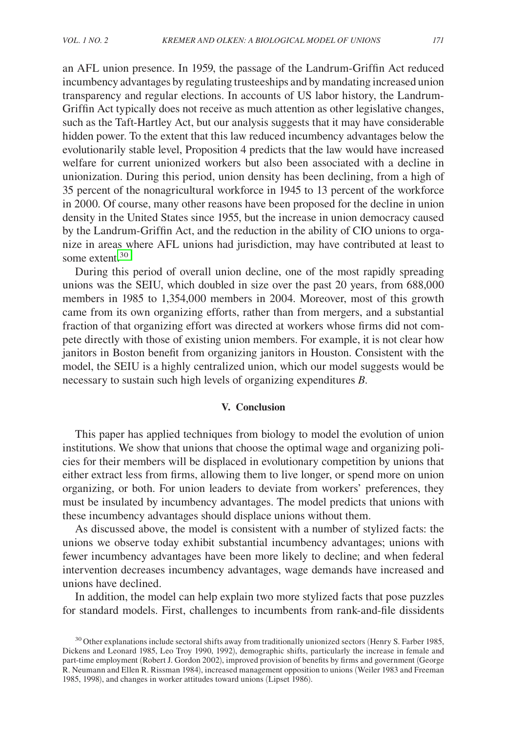an AFL union presence. In 1959, the passage of the Landrum-Griffin Act reduced incumbency advantages by regulating trusteeships and by mandating increased union transparency and regular elections. In accounts of US labor history, the Landrum-Griffin Act typically does not receive as much attention as other legislative changes, such as the Taft-Hartley Act, but our analysis suggests that it may have considerable hidden power. To the extent that this law reduced incumbency advantages below the evolutionarily stable level, Proposition 4 predicts that the law would have increased welfare for current unionized workers but also been associated with a decline in unionization. During this period, union density has been declining, from a high of 35 percent of the nonagricultural workforce in 1945 to 13 percent of the workforce in 2000. Of course, many other reasons have been proposed for the decline in union density in the United States since 1955, but the increase in union democracy caused by the Landrum-Griffin Act, and the reduction in the ability of CIO unions to organize in areas where AFL unions had jurisdiction, may have contributed at least to some extent.<sup>30</sup>

During this period of overall union decline, one of the most rapidly spreading unions was the SEIU, which doubled in size over the past 20 years, from 688,000 members in 1985 to 1,354,000 members in 2004. Moreover, most of this growth came from its own organizing efforts, rather than from mergers, and a substantial fraction of that organizing effort was directed at workers whose firms did not compete directly with those of existing union members. For example, it is not clear how janitors in Boston benefit from organizing janitors in Houston. Consistent with the model, the SEIU is a highly centralized union, which our model suggests would be necessary to sustain such high levels of organizing expenditures *B*.

#### **V. Conclusion**

This paper has applied techniques from biology to model the evolution of union institutions. We show that unions that choose the optimal wage and organizing policies for their members will be displaced in evolutionary competition by unions that either extract less from firms, allowing them to live longer, or spend more on union organizing, or both. For union leaders to deviate from workers' preferences, they must be insulated by incumbency advantages. The model predicts that unions with these incumbency advantages should displace unions without them.

As discussed above, the model is consistent with a number of stylized facts: the unions we observe today exhibit substantial incumbency advantages; unions with fewer incumbency advantages have been more likely to decline; and when federal intervention decreases incumbency advantages, wage demands have increased and unions have declined.

In addition, the model can help explain two more stylized facts that pose puzzles for standard models. First, challenges to incumbents from rank-and-file dissidents

<sup>&</sup>lt;sup>30</sup> Other explanations include sectoral shifts away from traditionally unionized sectors (Henry S. Farber 1985, Dickens and Leonard 1985, Leo Troy 1990, 1992), demographic shifts, particularly the increase in female and part-time employment (Robert J. Gordon 2002), improved provision of benefits by firms and government (George R. Neumann and Ellen R. Rissman 1984), increased management opposition to unions (Weiler 1983 and Freeman 1985, 1998), and changes in worker attitudes toward unions (Lipset 1986).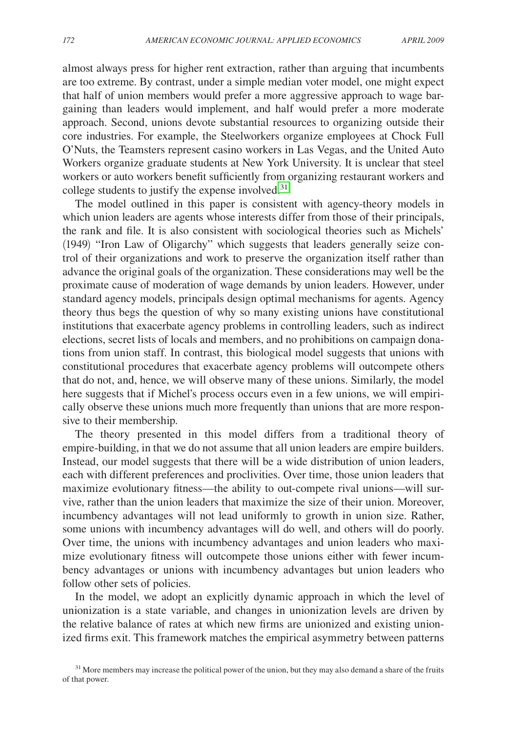almost always press for higher rent extraction, rather than arguing that incumbents are too extreme. By contrast, under a simple median voter model, one might expect that half of union members would prefer a more aggressive approach to wage bargaining than leaders would implement, and half would prefer a more moderate approach. Second, unions devote substantial resources to organizing outside their core industries. For example, the Steelworkers organize employees at Chock Full O'Nuts, the Teamsters represent casino workers in Las Vegas, and the United Auto Workers organize graduate students at New York University. It is unclear that steel workers or auto workers benefit sufficiently from organizing restaurant workers and college students to justify the expense involved.<sup>31</sup>

The model outlined in this paper is consistent with agency-theory models in which union leaders are agents whose interests differ from those of their principals, the rank and file. It is also consistent with sociological theories such as Michels' (1949) "Iron Law of Oligarchy" which suggests that leaders generally seize control of their organizations and work to preserve the organization itself rather than advance the original goals of the organization. These considerations may well be the proximate cause of moderation of wage demands by union leaders. However, under standard agency models, principals design optimal mechanisms for agents. Agency theory thus begs the question of why so many existing unions have constitutional institutions that exacerbate agency problems in controlling leaders, such as indirect elections, secret lists of locals and members, and no prohibitions on campaign donations from union staff. In contrast, this biological model suggests that unions with constitutional procedures that exacerbate agency problems will outcompete others that do not, and, hence, we will observe many of these unions. Similarly, the model here suggests that if Michel's process occurs even in a few unions, we will empirically observe these unions much more frequently than unions that are more responsive to their membership.

The theory presented in this model differs from a traditional theory of empire-building, in that we do not assume that all union leaders are empire builders. Instead, our model suggests that there will be a wide distribution of union leaders, each with different preferences and proclivities. Over time, those union leaders that maximize evolutionary fitness—the ability to out-compete rival unions—will survive, rather than the union leaders that maximize the size of their union. Moreover, incumbency advantages will not lead uniformly to growth in union size. Rather, some unions with incumbency advantages will do well, and others will do poorly. Over time, the unions with incumbency advantages and union leaders who maximize evolutionary fitness will outcompete those unions either with fewer incumbency advantages or unions with incumbency advantages but union leaders who follow other sets of policies.

In the model, we adopt an explicitly dynamic approach in which the level of unionization is a state variable, and changes in unionization levels are driven by the relative balance of rates at which new firms are unionized and existing unionized firms exit. This framework matches the empirical asymmetry between patterns

<sup>&</sup>lt;sup>31</sup> More members may increase the political power of the union, but they may also demand a share of the fruits of that power.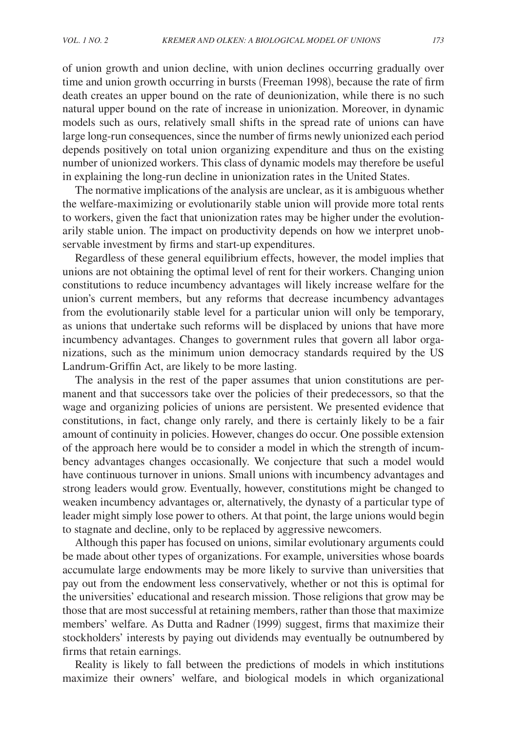of union growth and union decline, with union declines occurring gradually over time and union growth occurring in bursts (Freeman 1998), because the rate of firm death creates an upper bound on the rate of deunionization, while there is no such natural upper bound on the rate of increase in unionization. Moreover, in dynamic models such as ours, relatively small shifts in the spread rate of unions can have large long-run consequences, since the number of firms newly unionized each period depends positively on total union organizing expenditure and thus on the existing number of unionized workers. This class of dynamic models may therefore be useful in explaining the long-run decline in unionization rates in the United States.

The normative implications of the analysis are unclear, as it is ambiguous whether the welfare-maximizing or evolutionarily stable union will provide more total rents to workers, given the fact that unionization rates may be higher under the evolutionarily stable union. The impact on productivity depends on how we interpret unobservable investment by firms and start-up expenditures.

Regardless of these general equilibrium effects, however, the model implies that unions are not obtaining the optimal level of rent for their workers. Changing union constitutions to reduce incumbency advantages will likely increase welfare for the union's current members, but any reforms that decrease incumbency advantages from the evolutionarily stable level for a particular union will only be temporary, as unions that undertake such reforms will be displaced by unions that have more incumbency advantages. Changes to government rules that govern all labor organizations, such as the minimum union democracy standards required by the US Landrum-Griffin Act, are likely to be more lasting.

The analysis in the rest of the paper assumes that union constitutions are permanent and that successors take over the policies of their predecessors, so that the wage and organizing policies of unions are persistent. We presented evidence that constitutions, in fact, change only rarely, and there is certainly likely to be a fair amount of continuity in policies. However, changes do occur. One possible extension of the approach here would be to consider a model in which the strength of incumbency advantages changes occasionally. We conjecture that such a model would have continuous turnover in unions. Small unions with incumbency advantages and strong leaders would grow. Eventually, however, constitutions might be changed to weaken incumbency advantages or, alternatively, the dynasty of a particular type of leader might simply lose power to others. At that point, the large unions would begin to stagnate and decline, only to be replaced by aggressive newcomers.

Although this paper has focused on unions, similar evolutionary arguments could be made about other types of organizations. For example, universities whose boards accumulate large endowments may be more likely to survive than universities that pay out from the endowment less conservatively, whether or not this is optimal for the universities' educational and research mission. Those religions that grow may be those that are most successful at retaining members, rather than those that maximize members' welfare. As Dutta and Radner (1999) suggest, firms that maximize their stockholders' interests by paying out dividends may eventually be outnumbered by firms that retain earnings.

Reality is likely to fall between the predictions of models in which institutions maximize their owners' welfare, and biological models in which organizational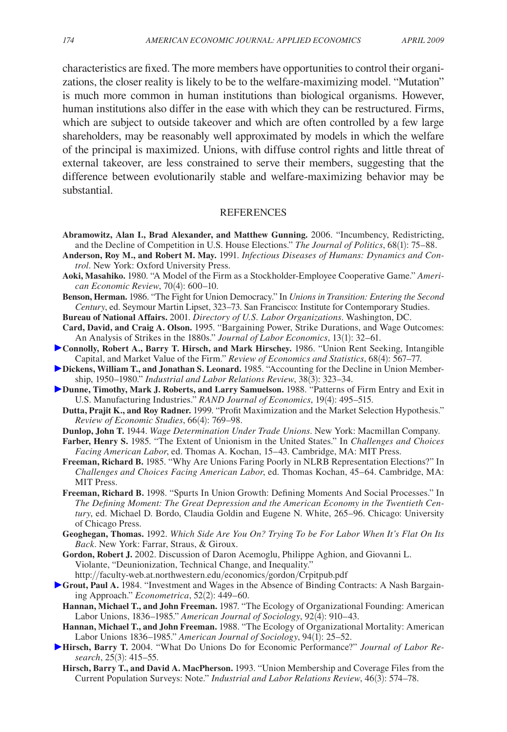characteristics are fixed. The more members have opportunities to control their organizations, the closer reality is likely to be to the welfare-maximizing model. "Mutation" is much more common in human institutions than biological organisms. However, human institutions also differ in the ease with which they can be restructured. Firms, which are subject to outside takeover and which are often controlled by a few large shareholders, may be reasonably well approximated by models in which the welfare of the principal is maximized. Unions, with diffuse control rights and little threat of external takeover, are less constrained to serve their members, suggesting that the difference between evolutionarily stable and welfare-maximizing behavior may be substantial.

#### **REFERENCES**

- **Abramowitz, Alan I., Brad Alexander, and Matthew Gunning.** 2006. "Incumbency, Redistricting, and the Decline of Competition in U.S. House Elections." *The Journal of Politics*, 68(1): 75–88.
- **Anderson, Roy M., and Robert M. May.** 1991. *Infectious Diseases of Humans: Dynamics and Control*. New York: Oxford University Press.
- **Aoki, Masahiko.** 1980. "A Model of the Firm as a Stockholder-Employee Cooperative Game." *American Economic Review*, 70(4): 600–10.
- **Benson, Herman.** 1986. "The Fight for Union Democracy." In *Unions in Transition: Entering the Second Century*, ed. Seymour Martin Lipset, 323–73. San Francisco: Institute for Contemporary Studies.
- **Bureau of National Affairs.** 2001. *Directory of U.S. Labor Organizations*. Washington, DC.
- **Card, David, and Craig A. Olson.** 1995. "Bargaining Power, Strike Durations, and Wage Outcomes: An Analysis of Strikes in the 1880s." *Journal of Labor Economics*, 13(1): 32–61.
- **Connolly, Robert A., Barry T. Hirsch, and Mark Hirschey.** 1986. "Union Rent Seeking, Intangible Capital, and Market Value of the Firm." *Review of Economics and Statistics*, 68(4): 567–77.
- **Dickens, William T., and Jonathan S. Leonard.** 1985. "Accounting for the Decline in Union Membership, 1950–1980." *Industrial and Labor Relations Review*, 38(3): 323–34.
- **Dunne, Timothy, Mark J. Roberts, and Larry Samuelson.** 1988. "Patterns of Firm Entry and Exit in U.S. Manufacturing Industries." *RAND Journal of Economics*, 19(4): 495–515.
	- **Dutta, Prajit K., and Roy Radner.** 1999. "Profit Maximization and the Market Selection Hypothesis." *Review of Economic Studies*, 66(4): 769–98.
	- **Dunlop, John T.** 1944. *Wage Determination Under Trade Unions*. New York: Macmillan Company.
	- **Farber, Henry S.** 1985. "The Extent of Unionism in the United States." In *Challenges and Choices Facing American Labor*, ed. Thomas A. Kochan, 15–43. Cambridge, MA: MIT Press.
	- **Freeman, Richard B.** 1985. "Why Are Unions Faring Poorly in NLRB Representation Elections?" In *Challenges and Choices Facing American Labor*, ed. Thomas Kochan, 45–64. Cambridge, MA: MIT Press.
	- **Freeman, Richard B.** 1998. "Spurts In Union Growth: Defining Moments And Social Processes." In *The Defining Moment: The Great Depression and the American Economy in the Twentieth Century*, ed. Michael D. Bordo, Claudia Goldin and Eugene N. White, 265–96. Chicago: University of Chicago Press.
	- **Geoghegan, Thomas.** 1992. *Which Side Are You On? Trying To be For Labor When It's Flat On Its Back*. New York: Farrar, Straus, & Giroux.
	- **Gordon, Robert J.** 2002. Discussion of Daron Acemoglu, Philippe Aghion, and Giovanni L. Violante, "Deunionization, Technical Change, and Inequality." http://faculty-web.at.northwestern.edu/economics/gordon/Crpitpub.pdf
- Grout, Paul A. 1984. "Investment and Wages in the Absence of Binding Contracts: A Nash Bargaining Approach." *Econometrica*, 52(2): 449–60.
	- **Hannan, Michael T., and John Freeman.** 1987. "The Ecology of Organizational Founding: American Labor Unions, 1836–1985." *American Journal of Sociology*, 92(4): 910–43.
	- **Hannan, Michael T., and John Freeman.** 1988. "The Ecology of Organizational Mortality: American Labor Unions 1836–1985." *American Journal of Sociology*, 94(1): 25–52.
- **Hirsch, Barry T.** 2004. "What Do Unions Do for Economic Performance?" *Journal of Labor Research*, 25(3): 415–55.
	- **Hirsch, Barry T., and David A. MacPherson.** 1993. "Union Membership and Coverage Files from the Current Population Surveys: Note." *Industrial and Labor Relations Review*, 46(3): 574–78.